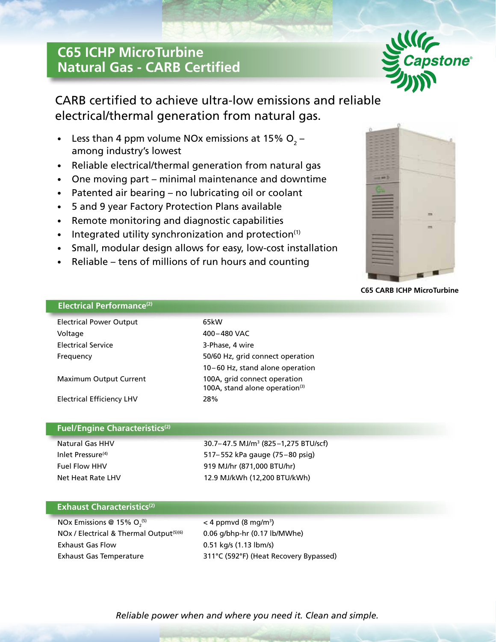# **C65 ICHP MicroTurbine Natural Gas - CARB Certified**



CARB certified to achieve ultra-low emissions and reliable electrical/thermal generation from natural gas.

- Less than 4 ppm volume NOx emissions at 15%  $O_2$  among industry's lowest
- Reliable electrical/thermal generation from natural gas
- One moving part minimal maintenance and downtime
- Patented air bearing no lubricating oil or coolant
- 5 and 9 year Factory Protection Plans available
- Remote monitoring and diagnostic capabilities
- Integrated utility synchronization and protection $(1)$
- Small, modular design allows for easy, low-cost installation
- Reliable tens of millions of run hours and counting



### **C65 CARB ICHP MicroTurbine**

## **Electrical Performance(2)**

| <b>Electrical Power Output</b>   | 65kW                                                                       |
|----------------------------------|----------------------------------------------------------------------------|
| Voltage                          | 400-480 VAC                                                                |
| <b>Electrical Service</b>        | 3-Phase, 4 wire                                                            |
| Frequency                        | 50/60 Hz, grid connect operation                                           |
|                                  | 10-60 Hz, stand alone operation                                            |
| Maximum Output Current           | 100A, grid connect operation<br>100A, stand alone operation <sup>(3)</sup> |
| <b>Electrical Efficiency LHV</b> | 28%                                                                        |

### **Fuel/Engine Characteristics(2)**

Natural Gas HHV 30.7– 47.5 MJ/m3 (825–1,275 BTU/scf) Inlet Pressure<sup>(4)</sup> 517–552 kPa gauge (75–80 psig) Fuel Flow HHV 919 MJ/hr (871,000 BTU/hr) Net Heat Rate LHV 12.9 MJ/kWh (12,200 BTU/kWh)

## **Exhaust Characteristics**<sup>(2)</sup>

NOx Emissions @ 15%  $O<sub>2</sub><sup>(5)</sup>$ NOx / Electrical & Thermal Output<sup>(5)(6)</sup> 0.06 g/bhp-hr (0.17 lb/MWhe) Exhaust Gas Flow 0.51 kg/s (1.13 lbm/s)

 $(5)$  < 4 ppmvd (8 mg/m<sup>3</sup>) Exhaust Gas Temperature 311°C (592°F) (Heat Recovery Bypassed)

*Reliable power when and where you need it. Clean and simple.*